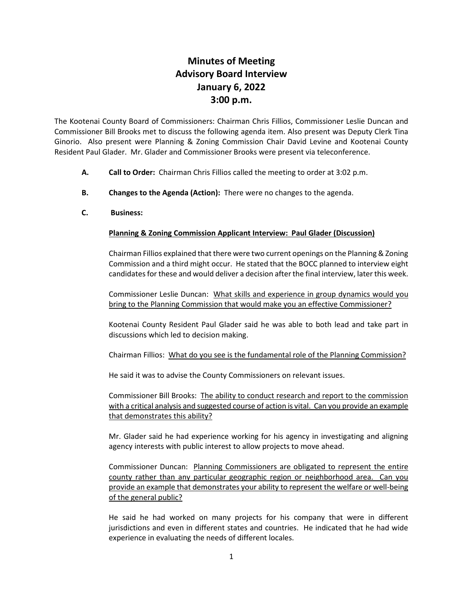# **Minutes of Meeting Advisory Board Interview January 6, 2022 3:00 p.m.**

The Kootenai County Board of Commissioners: Chairman Chris Fillios, Commissioner Leslie Duncan and Commissioner Bill Brooks met to discuss the following agenda item. Also present was Deputy Clerk Tina Ginorio. Also present were Planning & Zoning Commission Chair David Levine and Kootenai County Resident Paul Glader. Mr. Glader and Commissioner Brooks were present via teleconference.

- **A. Call to Order:** Chairman Chris Fillios called the meeting to order at 3:02 p.m.
- **B. Changes to the Agenda (Action):** There were no changes to the agenda.
- **C. Business:**

## **Planning & Zoning Commission Applicant Interview: Paul Glader (Discussion)**

Chairman Fillios explained that there were two current openings on the Planning & Zoning Commission and a third might occur. He stated that the BOCC planned to interview eight candidates for these and would deliver a decision after the final interview, later this week.

Commissioner Leslie Duncan: What skills and experience in group dynamics would you bring to the Planning Commission that would make you an effective Commissioner?

Kootenai County Resident Paul Glader said he was able to both lead and take part in discussions which led to decision making.

Chairman Fillios: What do you see is the fundamental role of the Planning Commission?

He said it was to advise the County Commissioners on relevant issues.

Commissioner Bill Brooks: The ability to conduct research and report to the commission with a critical analysis and suggested course of action is vital. Can you provide an example that demonstrates this ability?

Mr. Glader said he had experience working for his agency in investigating and aligning agency interests with public interest to allow projects to move ahead.

Commissioner Duncan: Planning Commissioners are obligated to represent the entire county rather than any particular geographic region or neighborhood area. Can you provide an example that demonstrates your ability to represent the welfare or well-being of the general public?

He said he had worked on many projects for his company that were in different jurisdictions and even in different states and countries. He indicated that he had wide experience in evaluating the needs of different locales.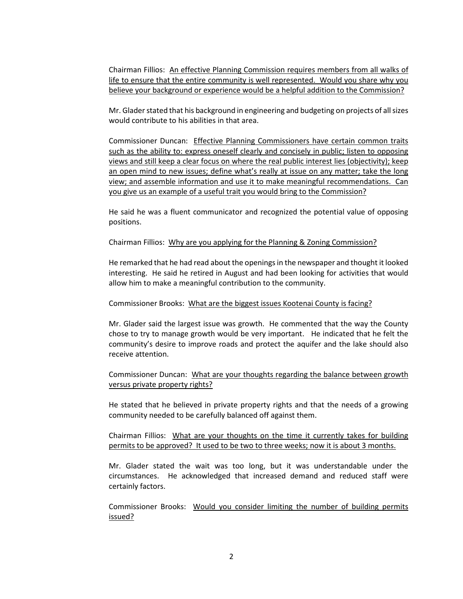Chairman Fillios: An effective Planning Commission requires members from all walks of life to ensure that the entire community is well represented. Would you share why you believe your background or experience would be a helpful addition to the Commission?

Mr. Glader stated that his background in engineering and budgeting on projects of all sizes would contribute to his abilities in that area.

Commissioner Duncan: Effective Planning Commissioners have certain common traits such as the ability to: express oneself clearly and concisely in public; listen to opposing views and still keep a clear focus on where the real public interest lies (objectivity); keep an open mind to new issues; define what's really at issue on any matter; take the long view; and assemble information and use it to make meaningful recommendations. Can you give us an example of a useful trait you would bring to the Commission?

He said he was a fluent communicator and recognized the potential value of opposing positions.

Chairman Fillios: Why are you applying for the Planning & Zoning Commission?

He remarked that he had read about the openings in the newspaper and thought it looked interesting. He said he retired in August and had been looking for activities that would allow him to make a meaningful contribution to the community.

#### Commissioner Brooks: What are the biggest issues Kootenai County is facing?

Mr. Glader said the largest issue was growth. He commented that the way the County chose to try to manage growth would be very important. He indicated that he felt the community's desire to improve roads and protect the aquifer and the lake should also receive attention.

Commissioner Duncan: What are your thoughts regarding the balance between growth versus private property rights?

He stated that he believed in private property rights and that the needs of a growing community needed to be carefully balanced off against them.

Chairman Fillios: What are your thoughts on the time it currently takes for building permits to be approved? It used to be two to three weeks; now it is about 3 months.

Mr. Glader stated the wait was too long, but it was understandable under the circumstances. He acknowledged that increased demand and reduced staff were certainly factors.

Commissioner Brooks: Would you consider limiting the number of building permits issued?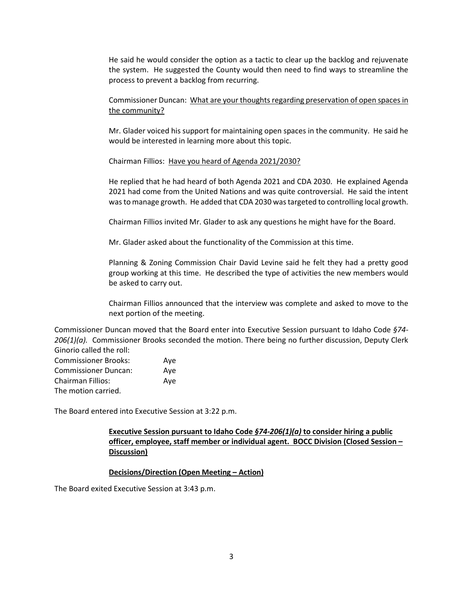He said he would consider the option as a tactic to clear up the backlog and rejuvenate the system. He suggested the County would then need to find ways to streamline the process to prevent a backlog from recurring.

Commissioner Duncan: What are your thoughts regarding preservation of open spaces in the community?

Mr. Glader voiced his support for maintaining open spaces in the community. He said he would be interested in learning more about this topic.

Chairman Fillios: Have you heard of Agenda 2021/2030?

He replied that he had heard of both Agenda 2021 and CDA 2030. He explained Agenda 2021 had come from the United Nations and was quite controversial. He said the intent was to manage growth. He added that CDA 2030 was targeted to controlling local growth.

Chairman Fillios invited Mr. Glader to ask any questions he might have for the Board.

Mr. Glader asked about the functionality of the Commission at this time.

Planning & Zoning Commission Chair David Levine said he felt they had a pretty good group working at this time. He described the type of activities the new members would be asked to carry out.

Chairman Fillios announced that the interview was complete and asked to move to the next portion of the meeting.

Commissioner Duncan moved that the Board enter into Executive Session pursuant to Idaho Code *§74- 206(1)(a).* Commissioner Brooks seconded the motion. There being no further discussion, Deputy Clerk Ginorio called the roll:

| <b>Commissioner Brooks:</b> | Ave |
|-----------------------------|-----|
| <b>Commissioner Duncan:</b> | Ave |
| <b>Chairman Fillios:</b>    | Ave |
| The motion carried.         |     |

The Board entered into Executive Session at 3:22 p.m.

## **Executive Session pursuant to Idaho Code** *§74-206(1)(a)* **to consider hiring a public officer, employee, staff member or individual agent. BOCC Division (Closed Session – Discussion)**

### **Decisions/Direction (Open Meeting – Action)**

The Board exited Executive Session at 3:43 p.m.